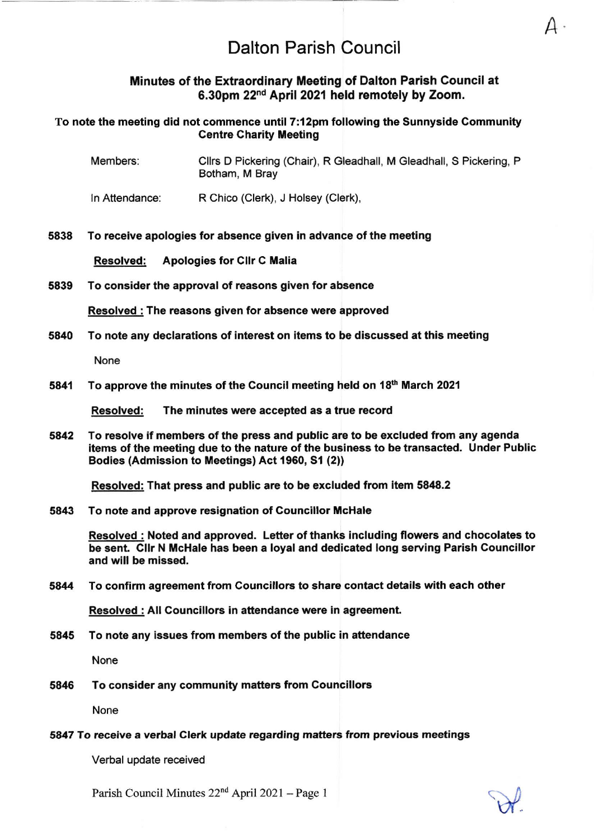Minutes of the Extraordinary Meeting of Dalton Parish Council at 6.30pm 22nd April 2021 held remotely by Zoom.

### To note the meeting did not commence until 7:12pm following the Sunnyside Gommunity **Centre Charity Meeting**

- Members: Cllrs D Pickering (Chair), R Gleadhall, M Gleadhall, S Pickering, <sup>P</sup> Botham, M Bray
- ln Attendance: R Chico (Clerk), J Holsey (Clerk),

### 5838 To receive apologies for absence given in advance of the meeting

Resolved: Apologies for Cllr C Malia

#### 5839 To consider the approval of reasons given for absence

Resolved : The reasons given for absence were approved

5840 To note any declarations of interest on items to be discussed at this meeting

None

5841 To approve the minutes of the Council meeting held on 18th March 2021

Resolved: The minutes were accepted as a true record

5a42 To resolve if members of the press and public are to be excluded from any agenda items of the meeting due to the nature of the business to be transacted. Under Public Bodies (Admission to Meetings) Act 1960, S1 (2))

Resolved: That press and public are to be excluded from item 5848.2

5843 To note and approve resignation of Councillor McHale

Resolved : Noted and approved. Letter of thanks including flowers and chocolates to be sent. Clir N McHale has been a loyal and dedicated long serving Parish Councillor and will be missed.

### 5844 To confirm agreement from Councillors to share contact details with each other

Resolved : All Councillors in attendance were in agreement.

5845 To note any issues from members of the public in attendance

None

5846 To consider any community matters from Councillors

None

#### 5817 To receive a verbal Clerk update regarding matters from previous meetings

Verbal update received

Parish Council Minutes 22<sup>nd</sup> April 2021 - Page 1



A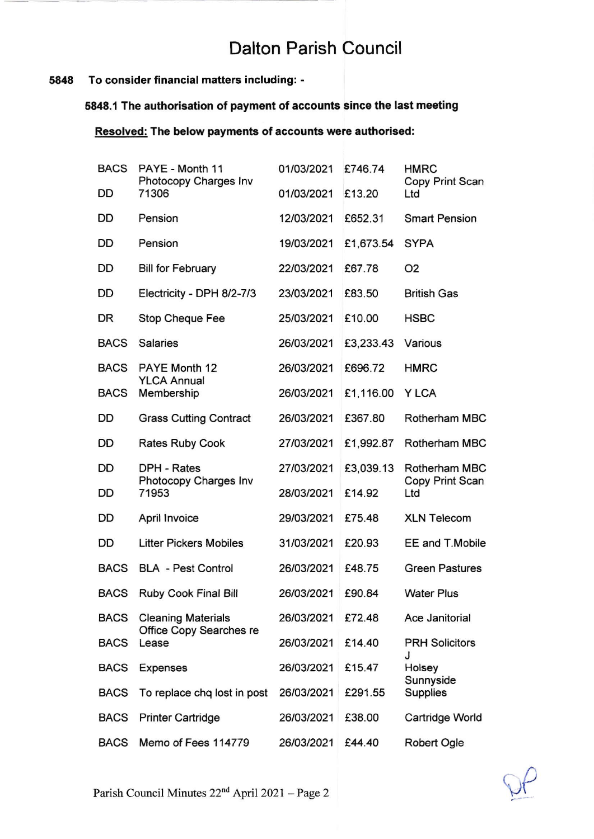# 5848 To consider financial matters including: -

# 5848.1 The authorisation of payment of accounts sinca the last meeting

# Resolved: The below payments of accounts were authorised:

| <b>BACS</b> | PAYE - Month 11<br>Photocopy Charges Inv<br>71306 | 01/03/2021 | £746.74   | <b>HMRC</b><br>Copy Print Scan<br>Ltd |
|-------------|---------------------------------------------------|------------|-----------|---------------------------------------|
| DD          |                                                   | 01/03/2021 | £13.20    |                                       |
| DD          | Pension                                           | 12/03/2021 | £652.31   | <b>Smart Pension</b>                  |
| DD          | Pension                                           | 19/03/2021 | £1,673.54 | <b>SYPA</b>                           |
| DD          | <b>Bill for February</b>                          | 22/03/2021 | £67.78    | O <sub>2</sub>                        |
| DD          | Electricity - DPH 8/2-7/3                         | 23/03/2021 | £83.50    | <b>British Gas</b>                    |
| DR          | <b>Stop Cheque Fee</b>                            | 25/03/2021 | £10.00    | <b>HSBC</b>                           |
| <b>BACS</b> | <b>Salaries</b>                                   | 26/03/2021 | £3,233.43 | Various                               |
| <b>BACS</b> | PAYE Month 12                                     | 26/03/2021 | £696.72   | <b>HMRC</b>                           |
| <b>BACS</b> | <b>YLCA Annual</b><br>Membership                  | 26/03/2021 | £1,116.00 | Y LCA                                 |
| DD          | <b>Grass Cutting Contract</b>                     | 26/03/2021 | £367.80   | Rotherham MBC                         |
| DD          | <b>Rates Ruby Cook</b>                            | 27/03/2021 | £1,992.87 | Rotherham MBC                         |
| DD          | DPH - Rates                                       | 27/03/2021 | £3,039.13 | Rotherham MBC                         |
| DD          | Photocopy Charges Inv<br>71953                    | 28/03/2021 | £14.92    | Copy Print Scan<br>Ltd                |
| DD          | April Invoice                                     | 29/03/2021 | £75.48    | <b>XLN Telecom</b>                    |
| DD          | <b>Litter Pickers Mobiles</b>                     | 31/03/2021 | £20.93    | EE and T.Mobile                       |
| <b>BACS</b> | <b>BLA</b> - Pest Control                         | 26/03/2021 | £48.75    | <b>Green Pastures</b>                 |
| <b>BACS</b> | Ruby Cook Final Bill                              | 26/03/2021 | £90.84    | <b>Water Plus</b>                     |
| <b>BACS</b> | <b>Cleaning Materials</b>                         | 26/03/2021 | £72.48    | Ace Janitorial                        |
| <b>BACS</b> | Office Copy Searches re<br>Lease                  | 26/03/2021 | £14.40    | <b>PRH Solicitors</b><br>J            |
| <b>BACS</b> | <b>Expenses</b>                                   | 26/03/2021 | £15.47    | Holsey<br>Sunnyside                   |
| <b>BACS</b> | To replace chq lost in post                       | 26/03/2021 | £291.55   | <b>Supplies</b>                       |
| <b>BACS</b> | <b>Printer Cartridge</b>                          | 26/03/2021 | £38.00    | Cartridge World                       |
| <b>BACS</b> | Memo of Fees 114779                               | 26/03/2021 | £44.40    | Robert Ogle                           |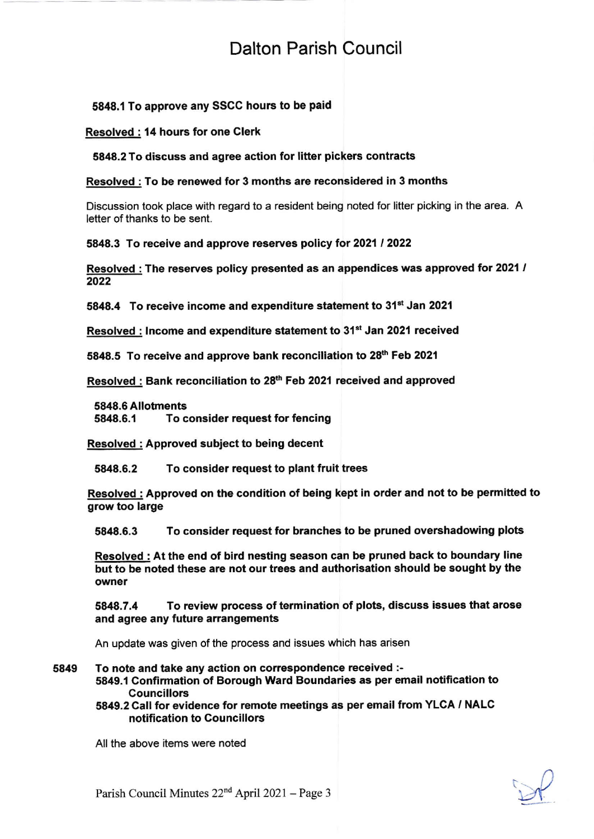# 5848,1 To approve any SSCC hours to be paid

### Resolved : 14 hours for one Clerk

5848.2 To discuss and agree action for litter pickers contracts

# Resolved : To be renewed for 3 months are reconsidered in 3 months

Discussion took place with regard to a resident being noted for litter picking in the area. A letter of thanks to be sent.

5848.3 To receive and approve reserves policy for 2021 / 2022

Resolved : The reserves policy presented as an appendices was approved for 2021 / 2022

5848.4 To receive income and expenditure statement to 31<sup>st</sup> Jan 2021

Resolved : Income and expenditure statement to 31<sup>st</sup> Jan 2021 received

5848.5 To receive and approve bank reconciliation to 28<sup>th</sup> Feb 2021

Resolved : Bank reconciliation to 28<sup>th</sup> Feb 2021 received and approved

5848.6 Allotments 5848.6.1 To consider request for fencing

Resolved : Approved subiect to being decent

5848.6.2 To consider request to plant fruit trees

Resolved: Approved on the condition of being kept in order and not to be permitted to grow too large

5848.6.3 To consider request for branches to be pruned overshadowing plots

Resolved : At the end of bird nesting season can be pruned back to boundary line but to be noted these are not our trees and authorisation should be sought by the owner

5A48.7,4 To review process of termination of plots, discuss issues that arose and agree any future arrangements

An update was given of the process and issues which has arisen

5849 To note and take any action on correspondence received :-

5849.1 Confirmation of Borough Ward Boundaries as per email notification to Councillors

5849.2 Call for evidence for remote meetings as per email from YLGA / NALC notification to Gouncillors

All the above items were noted

 $\mathcal{P}$